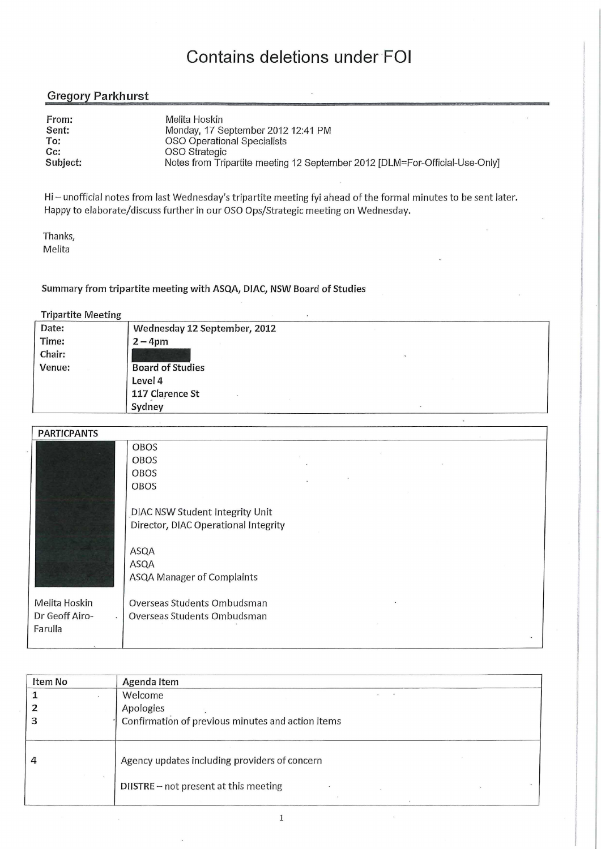### **Contains deletions under FOI**

### Gregory Parkhurst

| From:<br>Sent: | Melita Hoskin<br>Monday, 17 September 2012 12:41 PM                         |
|----------------|-----------------------------------------------------------------------------|
| To:            | OSO Operational Specialists                                                 |
| $Cc$ :         | OSO Strategic                                                               |
| Subject:       | Notes from Tripartite meeting 12 September 2012 [DLM=For-Official-Use-Only] |

Hi — unofficial notes from last Wednesday's tripartite meeting fyi ahead of the formal minutes to be sent later. Happy to elaborate/discuss further in our OSO Ops/Strategic meeting on Wednesday.

Thanks, Melita

**Summary from tripartite meeting with ASQA, DIAC, NSW Board of Studies** 

#### **Tripartite Meeting**

| . .<br>$\tilde{}$<br>Date: | Wednesday 12 September, 2012 |
|----------------------------|------------------------------|
| Time:                      | $2 - 4$ pm                   |
| Chair:                     |                              |
| Venue:                     | <b>Board of Studies</b>      |
|                            | Level 4                      |
|                            | 117 Clarence St              |
|                            | Sydney                       |

| <b>PARTICPANTS</b>        |                                      |
|---------------------------|--------------------------------------|
|                           | <b>OBOS</b>                          |
|                           | <b>OBOS</b>                          |
|                           | OBOS                                 |
|                           | OBOS                                 |
|                           |                                      |
|                           | DIAC NSW Student Integrity Unit      |
|                           | Director, DIAC Operational Integrity |
|                           |                                      |
|                           | ASQA                                 |
|                           | ASQA                                 |
|                           | ASQA Manager of Complaints           |
|                           |                                      |
| Melita Hoskin             | Overseas Students Ombudsman          |
| Dr Geoff Airo-<br>$\cdot$ | Overseas Students Ombudsman          |
| Farulla                   |                                      |
|                           |                                      |

| Item No | Agenda Item                                       |
|---------|---------------------------------------------------|
|         | Welcome                                           |
|         | Apologies                                         |
|         | Confirmation of previous minutes and action items |
| 4       | Agency updates including providers of concern     |
|         | DIISTRE - not present at this meeting             |

1

 $\overline{a}$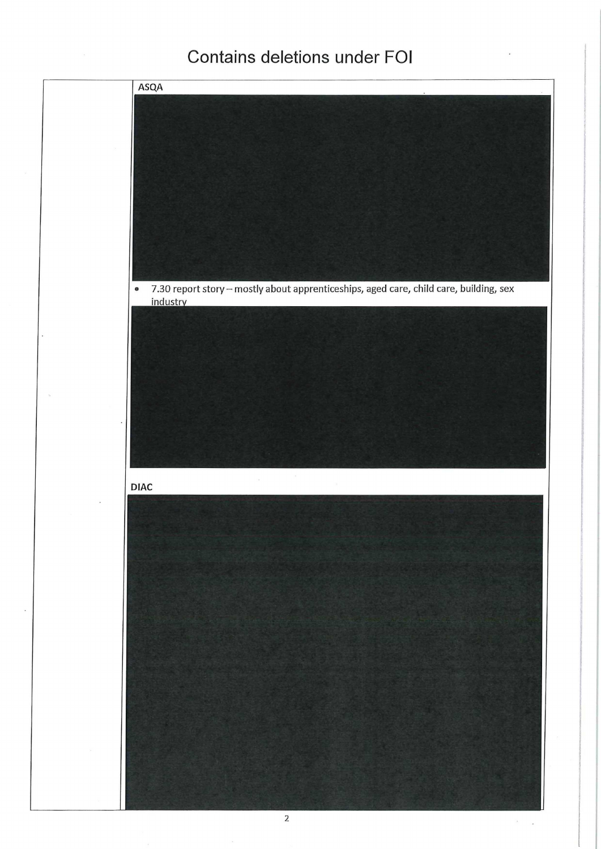## Contains deletions under FOI